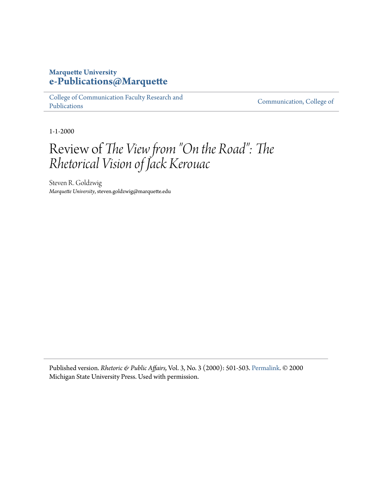## **Marquette University [e-Publications@Marquette](https://epublications.marquette.edu)**

[College of Communication Faculty Research and](https://epublications.marquette.edu/comm_fac) [Publications](https://epublications.marquette.edu/comm_fac)

[Communication, College of](https://epublications.marquette.edu/communication)

1-1-2000

## Review of *The View from "On the Road": The Rhetorical Vision of Jack Kerouac*

Steven R. Goldzwig *Marquette University*, steven.goldzwig@marquette.edu

Published version. *Rhetoric & Public Affairs,* Vol. 3, No. 3 (2000): 501-503. [Permalink](http://msupress.org/journals/issue/?id=50-21D-584). © 2000 Michigan State University Press. Used with permission.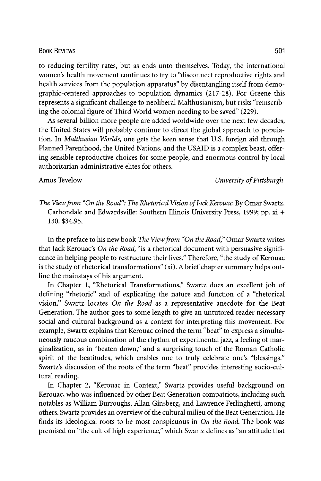The View from "On the Road": The Rhetorical Vision of Jack Kerouac. By Omar Swartz. Carbondale and Edwardsville: Southern Illinois University Press, 1999; pp. xi + 130. \$34.95.

In the preface to his new book The View from "On the Road," Omar Swartz writes that Jack Kerouac's On the Road, "is a rhetorical document with persuasive significance in helping people to restructure their lives." Therefore, "the study of Kerouac is the study of rhetorical transformations" (xi). A brief chapter summary helps outline the mainstays of his argument.

In Chapter 1, "Rhetorical Transformations," Swartz does an excellent job of defining "rhetoric" and of explicating the nature and function of a "rhetorical vision." Swartz locates On the Road as a representative anecdote for the Beat Generation. The author goes to some length to give an untutored reader necessary social and cultural background as a context for interpreting this movement. For example, Swartz explains that Kerouac coined the term "beat" to express a simultaneously raucous combination of the rhythm of experimental jazz, a feeling of marginalization, as in "beaten down," and a surprising touch of the Roman Catholic spirit of the beatitudes, which enables one to truly celebrate one's "blessings." Swartz's discussion of the roots of the term "beat" provides interesting socio-cultural reading.

In Chapter 2, "Kerouac in Context," Swartz provides useful background on Kerouac, who was influenced by other Beat Generation compatriots, including such notables as William Burroughs, Allan Ginsberg, and Lawrence Ferlinghetti, among others. Swartz provides an overview of the cultural milieu of the Beat Generation. He finds its ideological roots to be most conspicuous in On the Road. The book was premised on "the cult of high experience," which Swartz defines as "an attitude that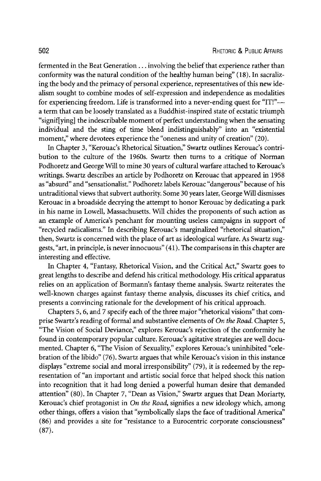fermented in the Beat Generation... involving the belief that experience rather than conformity was the natural condition of the healthy human being" ( 18). In sacralizing the body and the primacy of personal experience, representatives of this new idealism sought to combine modes of self-expression and independence as modalities for experiencing freedom. Life is transformed into a never-ending quest for "IT!"- a term that can be loosely translated as a Buddhist-inspired state of ecstatic triumph "signifying] the indescribable moment of perfect understanding when the sensating individual and the sting of time blend indistinguishably" into an "existential moment," where devotees experience the "oneness and unity of creation" (20).

In Chapter 3, "Kerouac's Rhetorical Situation," Swartz outlines Kerouac's contribution to the culture of the 1960s. Swartz then turns to a critique of Norman Podhoretz and George Will to mine 30 years of cultural warfare attached to Kerouac's writings. Swartz describes an article by Podhoretz on Kerouac that appeared in 1958 as "absurd" and "sensationalist." Podhoretz labels Kerouac "dangerous" because of his untraditional views that subvert authority. Some 30 years later, George Will dismisses Kerouac in a broadside decrying the attempt to honor Kerouac by dedicating a park in his name in Lowell, Massachusetts. Will chides the proponents of such action as an example of America's penchant for mounting useless campaigns in support of "recycled radicalisms." In describing Kerouac's marginalized "rhetorical situation," then, Swartz is concerned with the place of art as ideological warfare. As Swartz suggests, "art, in principle, is never innocuous" (41). The comparisons in this chapter are interesting and effective.

In Chapter 4, "Fantasy, Rhetorical Vision, and the Critical Act," Swartz goes to great lengths to describe and defend his critical methodology. His critical apparatus relies on an application of Bormann's fantasy theme analysis. Swartz reiterates the well-known charges against fantasy theme analysis, discusses its chief critics, and presents a convincing rationale for the development of his critical approach.

Chapters 5,6, and 7 specify each of the three major "rhetorical visions" that comprise Swartz's reading of formal and substantive elements of On the Road. Chapter 5, "The Vision of Social Deviance," explores Kerouac's rejection of the conformity he found in contemporary popular culture. Kerouac's agitative strategies are well documented. Chapter 6, "The Vision of Sexuality," explores Kerouac's uninhibited "celebration of the libido" (76). Swartz argues that while Kerouac's vision in this instance displays "extreme social and moral irresponsibility" (79), it is redeemed by the representation of "an important and artistic social force that helped shock this nation into recognition that it had long denied a powerful human desire that demanded attention" (80). In Chapter 7, "Dean as Vision," Swartz argues that Dean Moriarty, Kerouac's chief protagonist in On the Road, signifies a new ideology which, among other things, offers a vision that "symbolically slaps the face of traditional America" (86) and provides a site for "resistance to a Eurocentric corporate consciousness" (87).